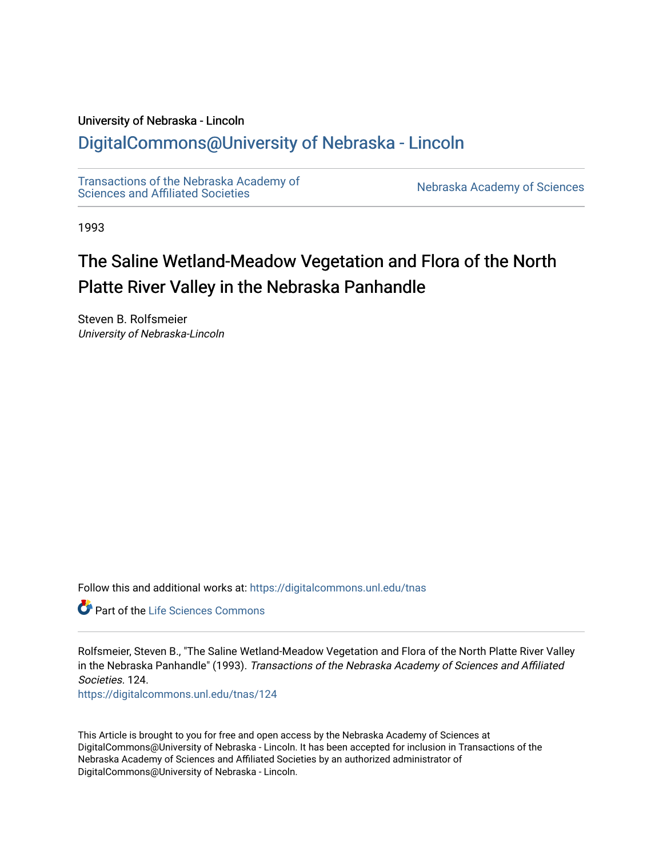## University of Nebraska - Lincoln

## [DigitalCommons@University of Nebraska - Lincoln](https://digitalcommons.unl.edu/)

[Transactions of the Nebraska Academy of](https://digitalcommons.unl.edu/tnas)  Transactions of the Nebraska Academy of Sciences<br>Sciences and Affiliated Societies

1993

# The Saline Wetland-Meadow Vegetation and Flora of the North Platte River Valley in the Nebraska Panhandle

Steven B. Rolfsmeier University of Nebraska-Lincoln

Follow this and additional works at: [https://digitalcommons.unl.edu/tnas](https://digitalcommons.unl.edu/tnas?utm_source=digitalcommons.unl.edu%2Ftnas%2F124&utm_medium=PDF&utm_campaign=PDFCoverPages) 

**C** Part of the Life Sciences Commons

Rolfsmeier, Steven B., "The Saline Wetland-Meadow Vegetation and Flora of the North Platte River Valley in the Nebraska Panhandle" (1993). Transactions of the Nebraska Academy of Sciences and Affiliated Societies. 124.

[https://digitalcommons.unl.edu/tnas/124](https://digitalcommons.unl.edu/tnas/124?utm_source=digitalcommons.unl.edu%2Ftnas%2F124&utm_medium=PDF&utm_campaign=PDFCoverPages) 

This Article is brought to you for free and open access by the Nebraska Academy of Sciences at DigitalCommons@University of Nebraska - Lincoln. It has been accepted for inclusion in Transactions of the Nebraska Academy of Sciences and Affiliated Societies by an authorized administrator of DigitalCommons@University of Nebraska - Lincoln.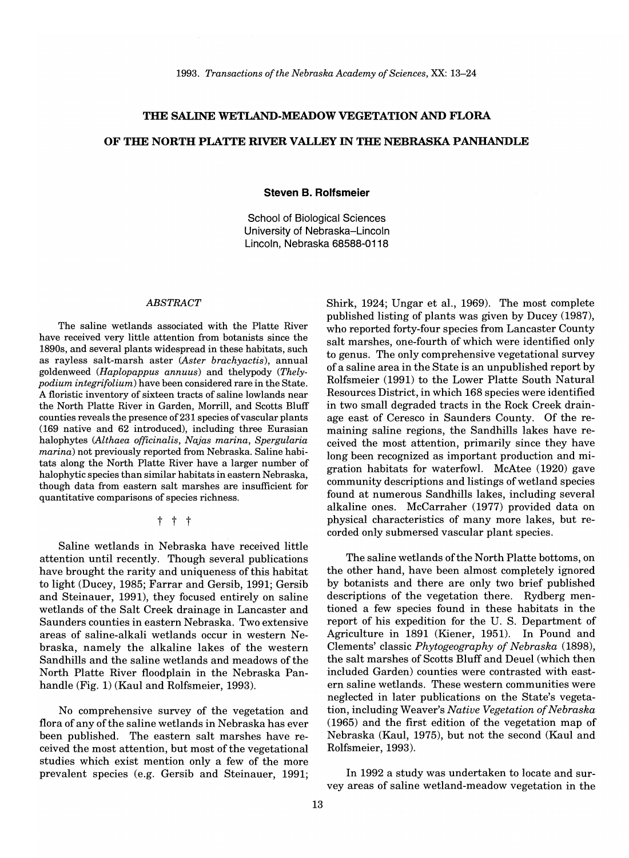## **THE SALINE WETLAND-MEADOW VEGETATION AND FLORA**

## **OF TIlE NORTH PLATTE RIVER VALLEY IN TIlE NEBRASKA PANHANDLE**

**Steven B. Rolfsmeier** 

School of Biological Sciences University of Nebraska-Lincoln Lincoln, Nebraska 68588-0118

## *ABSTRACT*

The saline wetlands associated with the Platte River have received very little attention from botanists since the 1890s, and several plants widespread in these habitats, such as rayless salt-marsh aster *(Aster brachyactis),* annual goldenweed *(Haplopappus annuus)* and thelypody *(Thelypodium integrifolium)* have been considered rare in the State. A floristic inventory of sixteen tracts of saline lowlands near the North Platte River in Garden, Morrill, and Scotts Bluff counties reveals the presence of 231 species of vascular plants (169 native and 62 introduced), including three Eurasian halophytes *(Althaea officinalis, Najas marina, Spergularia marina)* not previously reported from Nebraska. Saline habitats along the North Platte River have a larger number of halophytic species than similar habitats in eastern Nebraska, though data from eastern salt marshes are insufficient for quantitative comparisons of species richness.

t t t

Saline wetlands in Nebraska have received little attention until recently. Though several publications have brought the rarity and uniqueness of this habitat to light (Ducey, 1985; Farrar and Gersib, 1991; Gersib and Steinauer, 1991), they focused entirely on saline wetlands of the Salt Creek drainage in Lancaster and Saunders counties in eastern Nebraska. Two extensive areas of saline-alkali wetlands occur in western Nebraska, namely the alkaline lakes of the western Sandhills and the saline wetlands and meadows of the North Platte River floodplain in the Nebraska Panhandle (Fig. 1) (Kaul and Rolfsmeier, 1993).

No comprehensive survey of the vegetation and flora of any of the saline wetlands in Nebraska has ever been published. The eastern salt marshes have received the most attention, but most of the vegetational studies which exist mention only a few of the more prevalent species (e.g. Gersib and Steinauer, 1991; Shirk, 1924; Ungar et aI., 1969). The most complete published listing of plants was given by Ducey (1987), who reported forty-four species from Lancaster County salt marshes, one-fourth of which were identified only to genus. The only comprehensive vegetational survey of a saline area in the State is an unpublished report by Rolfsmeier (1991) to the Lower Platte South Natural Resources District, in which 168 species were identified in two small degraded tracts in the Rock Creek drainage east of Ceresco in Saunders County. Of the remaining saline regions, the Sandhills lakes have received the most attention, primarily since they have long been recognized as important production and migration habitats for waterfowl. McAtee (1920) gave community descriptions and listings of wetland species found at numerous Sandhills lakes, including several alkaline ones. McCarraher (1977) provided data on physical characteristics of many more lakes, but recorded only submersed vascular plant species.

The saline wetlands of the North Platte bottoms, on the other hand, have been almost completely ignored by botanists and there are only two brief published descriptions of the vegetation there. Rydberg mentioned a few species found in these habitats in the report of his expedition for the U. S. Department of Agriculture in 1891 (Kiener, 1951). In Pound and Clements' classic *Phytogeography of Nebraska (1898),*  the salt marshes of Scotts Bluff and Deuel (which then included Garden) counties were contrasted with eastern saline wetlands. These western communities were neglected in later publications on the State's vegetation, including Weaver's *Native Vegetation of Nebraska*  (1965) and the first edition of the vegetation map of Nebraska (Kaul, 1975), but not the second (Kaul and Rolfsmeier, 1993).

In 1992 a study was undertaken to locate and survey areas of saline wetland-meadow vegetation in the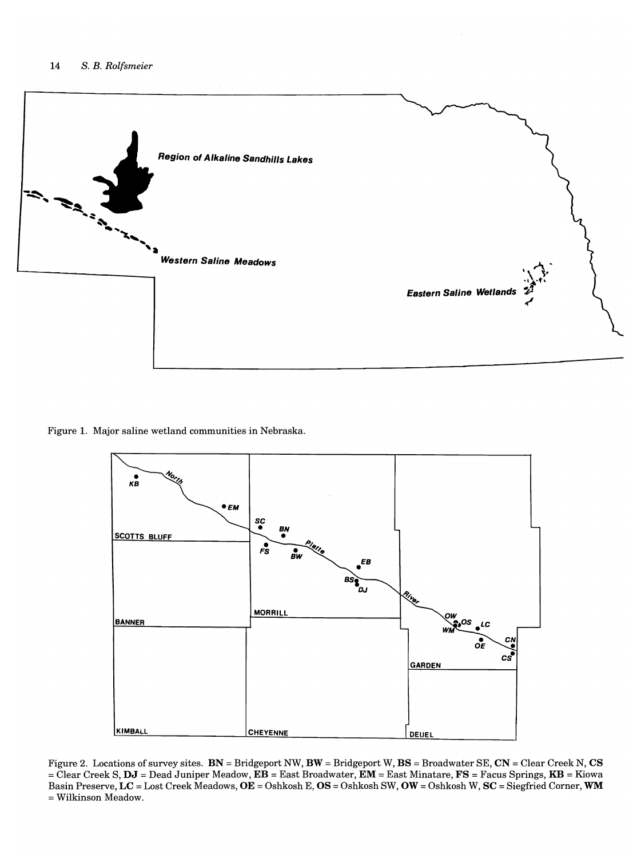

Figure 1. Major saline wetland communities in Nebraska.



Figure 2. Locations of survey sites.  $BN = Bridgeport NW, BW = Bridgeport W, BS = Broadwater SE, CN = Clear Creek N, CS$ = Clear Creek S, DJ = Dead Juniper Meadow, EB = East Broadwater, EM = East Minatare, FS = Facus Springs, KB = Kiowa Basin Preserve, LC = Lost Creek Meadows, OE = Oshkosh E, OS = Oshkosh SW, OW = Oshkosh W, SC = Siegfried Corner, WM = Wilkinson Meadow.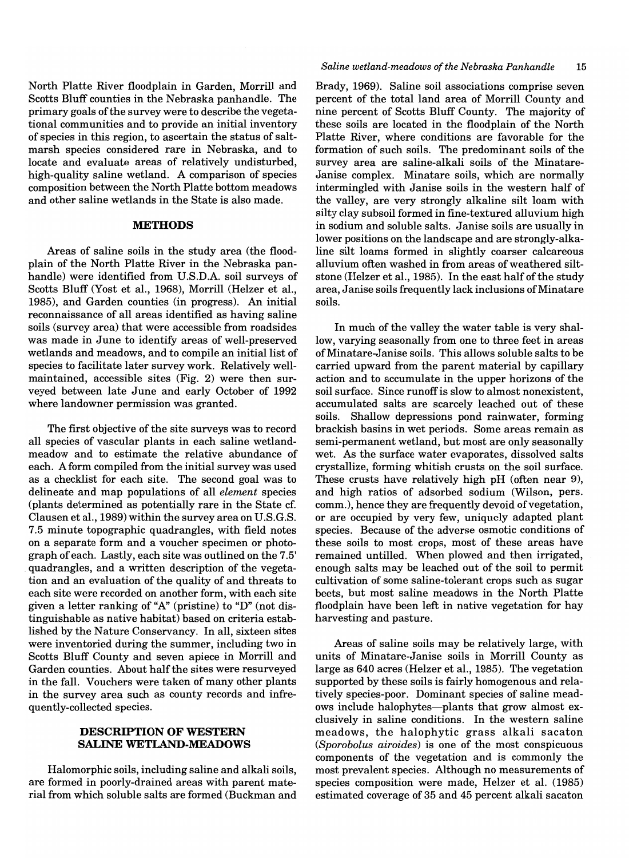North Platte River floodplain in Garden, Morrill and Scotts Bluff counties in the Nebraska panhandle. The primary goals of the survey were to describe the vegetational communities and to provide an initial inventory of species in this region, to ascertain the status of saltmarsh species considered rare in Nebraska, and to locate and evaluate areas of relatively undisturbed, high-quality saline wetland. A comparison of species composition between the North Platte bottom meadows and other saline wetlands in the State is also made.

## **METHODS**

Areas of saline soils in the study area (the floodplain of the North Platte River in the Nebraska panhandle) were identified from U.S.D.A. soil surveys of Scotts Bluff (Yost et aI., 1968), Morrill (Helzer et aI., 1985), and Garden counties (in progress). An initial reconnaissance of all areas identified as having saline soils (survey area) that were accessible from roadsides was made in June to identify areas of well-preserved wetlands and meadows, and to compile an initial list of species to facilitate later survey work. Relatively wellmaintained, accessible sites (Fig. 2) were then surveyed between late June and early October of 1992 where landowner permission was granted.

The first objective of the site surveys was to record all species of vascular plants in each saline wetlandmeadow and to estimate the relative abundance of each. A form compiled from the initial survey was used as a checklist for each site. The second goal was to delineate and map populations of all *element* species (plants determined as potentially rare in the State cf. Clausen et aI., 1989) within the survey area on U.S.G.8. 7.5 minute topographic quadrangles, with field notes on a separate form and a voucher specimen or photograph of each. Lastly, each site was outlined on the 7.5' quadrangles, and a written description of the vegetation and an evaluation of the quality of and threats to each site were recorded on another form, with each site given a letter ranking of "A" (pristine) to "D" (not distinguishable as native habitat) based on criteria established by the Nature Conservancy. In all, sixteen sites were inventoried during the summer, including two in Scotts Bluff County and seven apiece in Morrill and Garden counties. About half the sites were resurveyed in the fall. Vouchers were taken of many other plants in the survey area such as county records and infrequently-collected species.

## **DESCRIPTION OF WESTERN SALINE WETLAND-MEADOWS**

Halomorphic soils, including saline and alkali soils, are formed in poorly-drained areas with parent material from which soluble salts are formed (Buckman and Brady, 1969). Saline soil associations comprise seven percent of the total land area of Morrill County and nine percent of Scotts Bluff County. The majority of these soils are located in the floodplain of the North Platte River, where conditions are favorable for the formation of such soils. The predominant soils of the survey area are saline-alkali soils of the Minatare-Janise complex. Minatare soils, which are normally intermingled with Janise soils in the western half of the valley, are very strongly alkaline silt loam with silty clay subsoil formed in fine-textured alluvium high in sodium and soluble salts. Janise soils are usually in lower positions on the landscape and are strongly-alkaline silt loams formed in slightly coarser calcareous alluvium often washed in from areas of weathered siltstone (Helzer et al., 1985). In the east half of the study area, Janise soils frequently lack inclusions of Minatare soils.

In much of the valley the water table is very shallow, varying seasonally from one to three feet in areas ofMinatare-Janise soils. This allows soluble salts to be carried upward from the parent material by capillary action and to accumulate in the upper horizons of the soil surface. Since runoff is slow to almost nonexistent, accumulated salts are scarcely leached out of these soils. Shallow depressions pond rainwater, forming brackish basins in wet periods. Some areas remain as semi-permanent wetland, but most are only seasonally wet. As the surface water evaporates, dissolved salts crystallize, forming whitish crusts on the soil surface. These crusts have relatively high pH (often near 9), and high ratios of adsorbed sodium (Wilson, pers. comm.), hence they are frequently devoid of vegetation, or are occupied by very few, uniquely adapted plant species. Because of the adverse osmotic conditions of these soils to most crops, most of these areas have remained untilled. When plowed and then irrigated, enough salts may be leached out of the soil to permit cultivation of some saline-tolerant crops such as sugar beets, but most saline meadows in the North Platte floodplain have been left in native vegetation for hay harvesting and pasture.

Areas of saline soils may be relatively large, with units of Minatare-Janise soils in Morrill County as large as 640 acres (Helzer et aI., 1985). The vegetation supported by these soils is fairly homogenous and relatively species-poor. Dominant species of saline meadows include halophytes-plants that grow almost exclusively in saline conditions. In the western saline meadows, the halophytic grass alkali sacaton *(Sporobolus airoides)* is one of the most conspicuous components of the vegetation and is commonly the most prevalent species. Although no measurements of species composition were made, Helzer et ai. (1985) estimated coverage of 35 and 45 percent alkali sacaton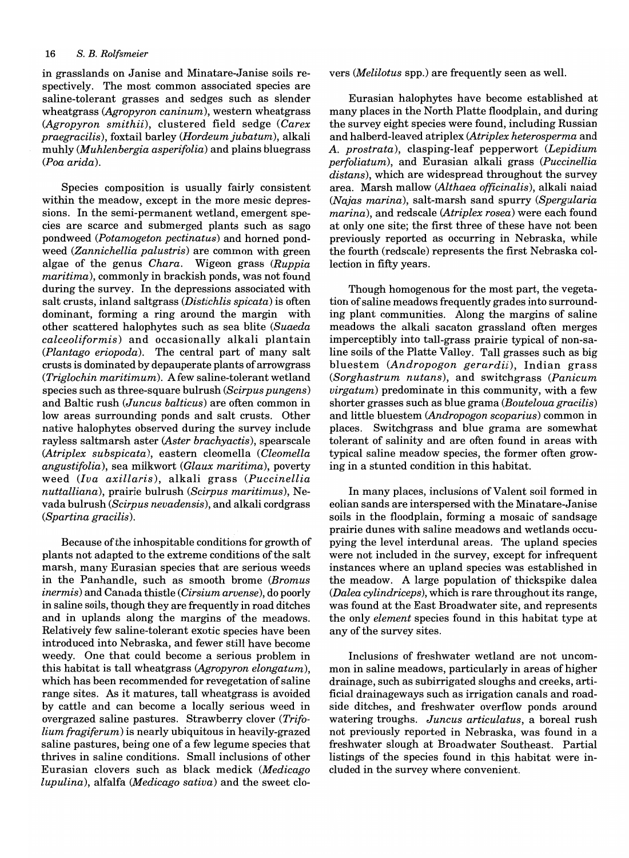in grasslands on Janise and Minatare-Janise soils respectively. The most common associated species are saline-tolerant grasses and sedges such as slender wheatgrass *(Agropyron caninum),* western wheatgrass *(Agropyron smithii),* clustered field sedge *(Carex praegracilis),* foxtail barley *(Hordeumjubatum),* alkali muhly *(Muhlenbergia asperifolia)* and plains bluegrass *(Poa arida).* 

Species composition is usually fairly consistent within the meadow, except in the more mesic depressions. In the semi-permanent wetland, emergent species are scarce and submerged plants such as sago pondweed *(Potamogeton pectinatus)* and horned pondweed *(Zannichellia palustris)* are common with green algae of the genus *Chara.* Wigeon grass *(Ruppia maritima),* commonly in brackish ponds, was not found during the survey. In the depressions associated with salt crusts, inland saltgrass *(Distichlis spicata)* is often dominant, forming a ring around the margin with other scattered halophytes such as sea blite *(Suaeda calceoliformis)* and occasionally alkali plantain *(Plantago eriopoda).* The central part of many salt crusts is dominated by depauperate plants of arrowgrass *(Triglochin maritimum).* A few saline-tolerant wetland species such as three-square bulrush *(Scirpus pungens)*  and Baltic rush *(Juncus balticus)* are often common in low areas surrounding ponds and salt crusts. Other native halophytes observed during the survey include rayless saltmarsh aster *(Aster brachyactis),* spearscale *(Atriplex subspicata),* eastern cleomella *(Cleomella angustifolia),* sea milkwort *(Glaux maritima),* poverty weed *(Iva axillaris),* alkali grass *(Puccinellia nuttalliana),* prairie bulrush *(Scirpus maritimus),* Nevada bulrush *(Scirpus nevadensis),* and alkali cordgrass *(Spartina gracilis).* 

Because of the inhospitable conditions for growth of plants not adapted to the extreme conditions of the salt marsh, many Eurasian species that are serious weeds in the Panhandle, such as smooth brome *(Bromus inermis)* and Canada thistle *(Cirsium arvense),* do poorly in saline soils, though they are frequently in road ditches and in uplands along the margins of the meadows. Relatively few saline-tolerant exotic species have been introduced into Nebraska, and fewer still have become weedy. One that could become a serious problem in this habitat is tall wheatgrass *(Agropyron elongatum),*  which has been recommended for revegetation of saline range sites. As it matures, tall wheatgrass is avoided by cattle and can become a locally serious weed in overgrazed saline pastures. Strawberry clover *(Trifolium fragiferum)* is nearly ubiquitous in heavily-grazed saline pastures, being one of a few legume species that thrives in saline conditions. Small inclusions of other Eurasian clovers such as black medick *(Medicago lupulina),* alfalfa *(Medicago sativa)* and the sweet clovers *(Melilotus* spp.) are frequently seen as well.

Eurasian halophytes have become established at many places in the North Platte floodplain, and during the survey eight species were found, including Russian and halberd-leaved atriplex *(Atriplex heterosperma* and *A. prostrata),* clasping-leaf pepperwort *(Lepidium perfoliatum),* and Eurasian alkali grass *(Puccinellia distans),* which are widespread throughout the survey area. Marsh mallow *(Althaea officinalis),* alkali naiad *(Najas marina),* salt-marsh sand spurry *(Spergularia marina),* and redscale *(Atriplex rosea)* were each found at only one site; the first three of these have not been previously reported as occurring in Nebraska, while the fourth (redscale) represents the first Nebraska collection in fifty years.

Though homogenous for the most part, the vegetation of saline meadows frequently grades into surrounding plant communities. Along the margins of saline meadows the alkali sacaton grassland often merges imperceptibly into tall-grass prairie typical of non-saline soils of the Platte Valley. Tall grasses such as big bluestem *(Andropogon gerardii),* Indian grass *(Sorghastrum nutans),* and switchgrass *(Panicum virgatum)* predominate in this community, with a few shorter grasses such as blue grama *(Bouteloua gracilis)*  and little bluestem *(Andropogon scoparius)* common in places. Switchgrass and blue grama are somewhat tolerant of salinity and are often found in areas with typical saline meadow species, the former often growing in a stunted condition in this habitat.

In many places, inclusions of Valent soil formed in eolian sands are interspersed with the Minatare-Janise soils in the floodplain, forming a mosaic of sandsage prairie dunes with saline meadows and wetlands occupying the level interdunal areas. The upland species were not included in the survey, except for infrequent instances where an upland species was established in the meadow. A large population of thickspike dalea *(Dalea cylindriceps),* which is rare throughout its range, was found at the East Broadwater site, and represents the only *element* species found in this habitat type at any of the survey sites.

Inclusions of freshwater wetland are not uncommon in saline meadows, particularly in areas of higher drainage, such as subirrigated sloughs and creeks, artificial drainageways such as irrigation canals and roadside ditches, and freshwater overflow ponds around watering troughs. *Juncus articulatus,* a boreal rush not previously reported in Nebraska, was found in a freshwater slough at Broadwater Southeast. Partial listings of the species found in this habitat were included in the survey where convenient.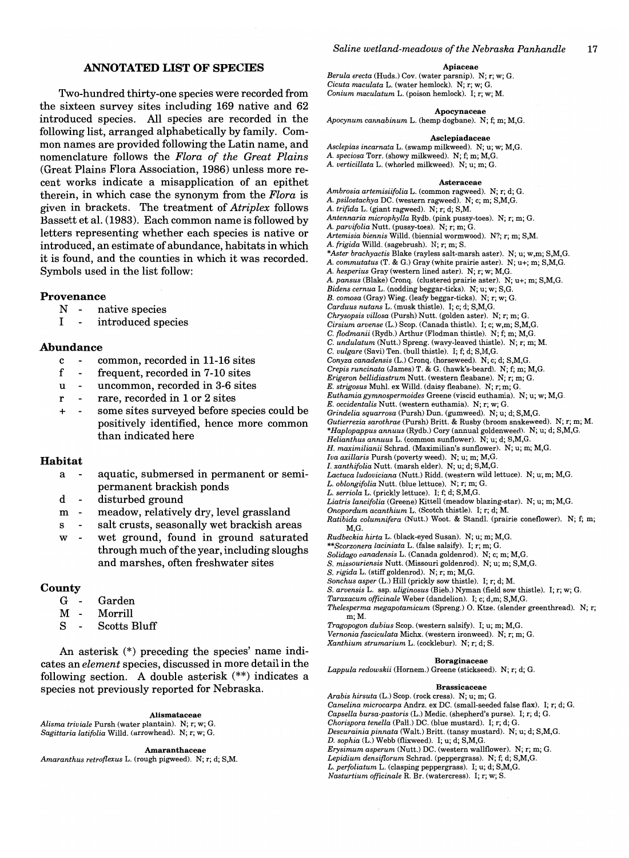## **ANNOTATED LIST OF SPECIES**

Two-hundred thirty-one species were recorded from the sixteen survey sites including 169 native and 62 introduced species. All species are recorded in the following list, arranged alphabetically by family. Common names are provided following the Latin name, and nomenclature follows the *Flora of the Great Plains*  (Great Plains Flora Association, 1986) unless more recent works indicate a misapplication of an epithet therein, in which case the synonym from the *Flora* is given in brackets. The treatment of *Atriplex* follows Bassett et al. (1983). Each common name is followed by letters representing whether each species is native or introduced, an estimate of abundance, habitats in which it is found, and the counties in which it was recorded. Symbols used in the list follow:

## **Provenance**

- $N$ native species
- I introduced species

## **Abundance**

- c common, recorded in 11-16 sites
- f frequent, recorded in 7-10 sites
- u uncommon, recorded in 3-6 sites
- r rare, recorded in 1 or 2 sites
- + some sites surveyed before species could be positively identified, hence more common than indicated here

## **Habitat**

- a aquatic, submersed in permanent or semipermanent brackish ponds
- d disturbed ground
- meadow, relatively dry, level grassland m  $\overline{\phantom{a}}$
- s salt crusts, seasonally wet brackish areas
- w wet ground, found in ground saturated through much of the year, including sloughs and marshes, often freshwater sites

#### **County**

- G Garden
- M Morrill  $\overline{\phantom{a}}$
- S Scotts Bluff

An asterisk (\*) preceding the species' name indicates an *element* species, discussed in more detail in the following section. A double asterisk (\*\*) indicates a species not previously reported for Nebraska.

#### Alismataceae

*Alisma triviale* Pursh (water plantain). N; r; w; G. *Sagittaria latifolia* Willd. (arrowhead). N; r; w; G.

Amaranthaceae

*Amaranthus retroflexus* L. (rough pigweed). N; r; d; S,M.

#### Apiaceae

*Berula erecta* (Huds.) Cov. (water parsnip). N; r; w; G. *Cicuta maculata* L. (water hemlock). N; r; w; G. *Conium maculatum* L. (poison hemlock). I; r; w; M.

#### Apocynaceae

*Apocynum cannabinum* L. (hemp dogbane). N; f; m; M,G.

#### Asclepiadaceae

- *Asclepias incarnata* L. (swamp milkweed). N; u; w; M,G. A. *speciosa* Torr. (showy milkweed). N; f; m; M,G.
- A. *verticillata* L. (whorled milkweed). N; u; m; G.

Asteraceae *Ambrosia artemisiifolia* L. (common ragweed). N; r; d; G. A. *psilostachya* DC. (western ragweed). N; c; m; S,M,G. A. *trifida* L. (giant ragweed). N; r; d; S,M. *Antennaria microphylla* Rydb. (pink pussy-toes). N; r; m; G. A. *parvifolia* Nutt. (pussy-toes). N; r; m; G. *Artemisia biennis* Willd. (biennial wormwood). N?; r; m; S,M. A. *frigida* Willd. (sagebrush). N; r; m; S. *\*Aster brachyactis* Blake (rayless salt-marsh aster). N; u; w,m; S,M,G. A. *commutatus* (T. & G.) Gray (white prairie aster). N; u+; m; S,M,G. A. *hesperius* Gray (western lined aster). N; r; w; M,G. A. *pansus* (Blake) Cronq. (clustered prairie aster). N; u+; m; S,M,G. *Bidens cernua* L. (nodding beggar-ticks). N; u; w; S,G. *B. comosa* (Gray) Wieg. (leafy beggar-ticks). N; r; w; G. *Carduus nutans* L. (musk thistle). I; c; d; S,M,G. *Chrysopsis villosa* (Pursh) Nutt. (golden aster). N; r; m; G. *Cirsium arvense* (L.) Scop. (Canada thistle). I; c; w,m; S,M,G. C. *flodmanii* (Rydb.) Arthur (Flodman thistle). N; f; m; M,G. C. *undulatum* (Nutt.) Spreng. (wavy-leaved thistle). N; r; m; M. C. *vulgare* (Savi) Ten. (bull thistle). I; f; d; S,M,G. *Conyza canadensis* (L.) Cronq. (horseweed). N; c; d; S,M,G. *Crepis runcinata* (James) T. & G. (hawk's-beard). N; f; m; M,G. *Erigeron bellidiastrum* Nutt. (western fleabane). N; r; m; G. *E. strigosus* Muhl. ex Willd. (daisy fleabane). N; r; m; G. *Euthamiagymnospermoides* Greene (viscid euthamia). N; u; w; M,G. *E. occidentalis* Nutt. (western euthamia). N; r; w; G. *Grindelia squarrosa* (Pursh) Dun. (gumweed). N; u; d; S,M,G. *Gutierrezia sarothrae* (Pursh) Britt. & Rusby (broom snakeweed). N; r; m; M. *\*Haplopappus annuus* (Rydb.) Cory (annual goldenweed). N; u; d; S,M,G. *Helianthus annuus* L. (common sunflower). N; u; d; S,M,G. *H. maximilianii* Schrad. (Maximilian's sunflower). N; u; m; M,G. *Iva axillaris* Pursh (poverty weed). N; u; m; M,G. *1. xanthifolia* Nutt. (marsh elder). N; u; d; S,M,G. *Lactuca ludoviciana* (Nutt.) Ridd. (western wild lettuce). N; u; m; M,G. *L. oblongifolia* Nutt. (blue lettuce). N; r; m; G. *L. serriola* L. (prickly lettuce). I; f; d; S,M,G. *Liatris laneifolia* (Greene) Kittell (meadow blazing-star). N; u; m; M,G. *Onopordum acanthium* L. (Scotch thistle). I; r; d; M. *Ratibida columnifera* (Nutt.) Woot. & StandI. (prairie coneflower). N; f; m; M,G. *Rudbeckia hirta* L. (black-eyed Susan). N; u; m; M,G. *\*\*Scorzonera laciniata* L. (false salsifY). I; r; m; G. *Solidago canadensis* L. (Canada goldenrod). N; c; m; M,G. *S. missouriensis* Nutt. (Missouri goldenrod). N; u; m; S,M,G. *S. rigida* L. (stiff goldenrod). N; r; m; M,G. *Sonchus asper* (L.) Hill (prickly sow thistle). I; r; d; M. *S. arvensis* L. ssp. *uliginosus* (Bieb.) Nyman (field sow thistle). I; r; w; G.

- *Taraxacum officinale* Weber (dandelion). I; c; d,m; S,M,G.
- 
- *Thelesperma megapotamicum* (Spreng.) O. Ktze. (slender greenthread). N; r; m;M.
- *Tragopogon dubius* Scop. (western salsify). I; u; m; M,G.
- *Vernonia fasciculata* Michx. (western ironweed). N; r; m; G.
- *Xanthium strumarium* L. (cocklebur). N; r; d; S.

### Boraginaceae

*Lappula redowskii* (Hornem.) Greene (stickseed). N; r; d; G.

#### Brassicaceae

*Arabis hirsuta* (L.) Scop. (rock cress). N; u; m; G. *Camel ina microcarpa* Andrz. ex DC. (small-seeded false flax). I; r; d; G. *Capsella bursa-pastoris* (L.) Medic. (shepherd's purse). I; r; d; G. *Chorispora tenella* (Pall.) DC. (blue mustard). I; r; d; G. *Descurainia pinnata* (Walt.) Britt. (tansy mustard). N; u; d; S,M,G. *D. sophia* (L.) Webb (flixweed). I; u; d; S,M,G. *Erysimum asperum* (Nutt.) DC. (western wallflower). N; r; m; G. *Lepidium densiflorum* Schrad. (peppergrass). N; f; d; S,M,G. *L. perfoliatum* L. (clasping peppergrass). I; u; d; S,M,G. *Nasturtium officinale* R. Br. (watercress). I; r; w; S.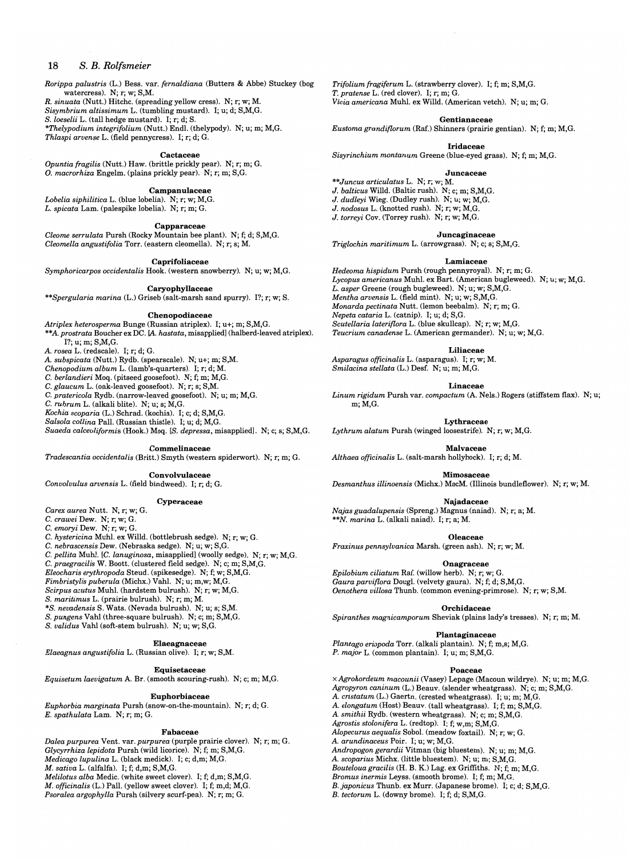*Rorippa palustris* (L.) Bess. var. *fernaldiana* (Butters & Abbe) Stuckey (bog watercress). N; r; w; S,M.

*R. sinuata* (Nutt.) Hitchc. (spreading yellow cress). N; r; w; M. *Sisymbrium altissimum* L. (tumbling mustard). I; u; d; S,M,G.

*S. loeselii* L. (tall hedge mustard). I; r; d; S.

*\*Thelypodium integrifolium* (Nutt.) End!. (thelypody). N; u; m; M,G. *Thlaspi arvense* L. (field pennycress). I; r; d; G.

**Cactaceae** 

*Opuntia {ragilis* (Nutt.) Haw. (brittle prickly pear). N; r; m; G. O. *macrorhiza* Engelm. (plains prickly pear). N; r; m; S,G.

**Campanulaceae** 

*Lobelia siphilitica* L. (blue lobelia). N; r; w; M,G. *L. spicata* Lam. (palespike lobelia). N; r; m; G.

**Capparaceae** 

*Cleome serrulata* Pursh (Rocky Mountain bee plant). N; f; d; S,M,G. *Cleomella angustifolia* Torr. (eastern cleomella). N; r; s; M.

**Caprifoliaceae** 

*Symphoricarpos occidentalis* Hook. (western snowberry). N; u; w; M,G.

#### **Caryophyllaceae**

*\*\*Spergularia marina* (L.) Griseb (salt-marsh sand spurry). I?; r; w; S.

**Chenopodiaceae** 

*Atriplex heterosperma* Bunge (Russian atriplex). I; u+; m; S,M,G. *\*\*A. prostrata* Boucher ex DC. (A. *hastata,* misappliedl (halberd-leaved atriplex). **I?; u; m; S,M,G.** 

*A. rosea* L. (redscale). I; r; d; G.

*A. subspicata* (Nutt.) Rydb. (spearscale). N; u+; m; S,M.

*Chenopodium album* L. (lamb's-quarters). I; r; d; M.

C. *berlandieri* Moq. (pitseed goosefoot). N; f; m; M,G.

C. *glaucum* L. (oak-leaved goosefoot). N; r; s; S,M. C. *pratericola* Rydb. (narrow-leaved goosefoot). N; u; m; M,G.

C. *rubrum* L. (alkali blite). N; u; s; M,G.

*Kochia scoparia* (L.) Schrad. (kochia). I; c; d; S,M,G.

*Salsola collina* Pall. (Russian thistle). I; u; d; M,G.

*Suaeda calceoliformis* (Hook.) Moq. *[So depressa,* misappliedl. N; c; s; S,M,G.

**Commelinaceae** 

*Tradescantia occidentalis* (Britt.) Smyth (western spiderwort). N; r; m; G.

**Convolvulaceae** 

*Convolvulus arvensis* L. (field bindweed). I; r; d; G.

#### **Cyperaceae**

*Carex aurea* Nutt. N; r; w; G.

C. *crawei* Dew. N; r; w; G.

C. *emoryi* Dew. N; r; w; G.

C. *hystericina* Muhl. ex Willd. (bottlebrush sedge). N; r; w; G. C. *nebrascensis* Dew. (Nebraska sedge). N; u; w; S,G.

C. *pellita* Muhl. *[C. lanuginosa,* misappliedl (woolly sedge). N; r; w; M,G.

C. *praegracilis* W. Boott. (clustered field sedge). N; c; m; S,M,G.

*Eleocharis erythropoda* Steud. (spikesedge). N; f; w; S,M,G.

*Fimbristylis puberula* (Michx.) Vahl. N; u; m,w; M,G.

*Scirpus acutus* Muhl. (hardstem bulrush). N; r; w; M,G.

*S. maritimus* L. (prairie bulrush). N; r; m; M.

*\*S. nevadensis* S. Wats. (Nevada bulrush). N; u; s; S,M.

*S. pungens* Vah! (three-square bulrush). N; c; m; S,M,G.

*S. validus* Vah! (soft-stem bulrush). N; u; w; S,G.

**Elaeagnaceae** 

*Elaeagnus angustifolia* L. (Russian olive). I; r; w; S,M.

#### **Equisetaceae**

*Equisetum laevigatum* A. Br. (smooth scouring-rush). N; c; m; M,G.

#### **Euphorbiaceae**

*Euphorbia marginata* Pursh (snow-on-the·mountain). N; r; d; G. *E. spathulata* Lam. N; r; m; G.

#### **Fabaceae**

*Dalea purpurea* Vent. var. *purpurea* (purple prairie clover). N; r; m; G. *Glycyrrhiza lepidota* Pursh (wild licorice). N; f; m; S,M,G. *Medicago lupulina* L. (black medick). I; c; d,m; M,G. *M. sativa* L. (alfalfa). I; f; d,m; S,M,G. *Melilotus alba* Medic. (white sweet clover). I; f; d,m; S,M,G. *M. officinalis* (L.) Pall. (yellow sweet clover). I; f; m,d; M,G. *Psoralea argophylla* Pursh (silvery scurf-pea). N; r; m; G.

*Trifolium fragiferum* L. (strawberry clover). I; f; m; S,M,G. *T. pratense* L. (red clover). I; r; m; G. *Vicia americana* Muhl. ex Willd. (American vetch). N; u; m; G.

**Gentianaceae** 

*Eustomagrandiflorum* (Raf.) Shinners (prairie gentian). N; f; m; M,G.

**Iridaceae** 

*Sisyrinchium montanum* Greene (blue-eyed grass). N; f; m; M,G.

#### **Juncaceae**

*\*\*Juncus articulatus* L. N; r; w; M. *J. balticus* Willd. (Baltic rush). N; c; m; S,M,G. *J. dudleyi* Wieg. (Dudley rush). N; u; w; M,G. *J. nodosus* L. (knotted rush). N; r; w; M,G. *J. torreyi* Cov. (Torrey rush). N; r; w; M,G.

**Juncaginaceae** 

*Triglochin maritimum* L. (arrowgrass). N; c; s; S,M,G.

#### **Lamiaceae**

*Hedeoma hispidum* Pursh (rough pennyroyal). N; r; m; G. *Lycopus americanus* Muhl. ex Bart. (American bugleweed). N; u; w; M,G. *L. asper* Greene (rough bugleweed). N; u; w; S,M,G. *Mentha arvensis* L. (field mint). N; u; w; S,M,G. *Monarda pectinata* Nutt. (lemon beebalm). N; r; m; G. *Nepeta cataria* L. (catnip). I; u; d; S,G. *Beutellaria lateriflora* L. (blue skullcap). N; r; w; M,G. *Teucrium canadense* L. (American germander). N; u; w; M,G.

**Liliaceae** 

*Asparagus officinal is* L. (asparagus). I; r; w; M. *Smilacina stellata* (L.) Desf. N; u; m; M,G.

**Linaceae** 

*Linum rigidum* Pursh var. *compactum* (A. Nels.) Rogers (stiffstem flax). N; u; m;M,G.

**Lythraceae** 

*Lythrum alatum* Pursh (winged loosestrife). N; r; w; M,G.

**Malvaceae** 

*Althaea officinalis* L. (salt-marsh hollyhock). I; r; d; M.

**Mimosaceae** 

*Desmanthus illinoensis* (Michx.) MacM. (Illinois bundleflower). N; r; w; M.

**Najadaceae** 

*Najas guadalupensis* (Spreng.) Magnus (naiad). N; r; a; M. *\*\*N. marina* L. (alkali naiad). I; r; a; M.

**Oleaceae** 

*Fraxinus pennsylvanica* Marsh. (green ash). N; r; w; M.

**Onagraceae** 

*Epilobium ciliatum* Raf. (willow herb). N; r; w; G. *Gauraparviflora* Dougl. (velvety gaura). N; f; d; S,M,G. *Oenothera villosa* Thunb. (common evening-primrose). N; r; w; S,M.

**Orchidaceae** 

*Spiranthes magnicamporum* Sheviak (plains lady's tresses). N; r; m; M.

**Plantaginaceae** 

*Plantago eriopoda* Torr. (alkali plantain). N; f; m,s; M,G. *P. major* L. (common plantain). I; u; m; S,M,G.

#### **Poaceae**

x *Agrohordeum macounii* (Vasey) Lepage (Macoun wildrye). N; u; m; M,G. *Agropyron caninum* (L.) Beauv. (slender wheatgrass). N; c; m; S,M,G. *A. cristatum* (L.) Gaertn. (crested wheatgrass). I; u; m; M,G. *A. elongatum* (Host) Beauv. (tall wheatgrass). I; f; m; S,M,G. *A. smithii* Rydb. (western wheatgrass). N; c; m; S,M,G. *Agrostis stolonifera* L. (redtop). I; f; w,m; S,M,G. *Alopecurus aequalis* Sobol. (meadow foxtail). N; r; w; G. *A. arundinaceus* Poir. I; u; w; M,G. *Andropogon gerardii* Vitman (big bluestem). N; u; m; M,G. *A. scoparius* Michx. (little bluestem). N; u; m; S,M,G. *Boutelouagracilis* (H. B. K.) Lag. ex Griffiths. N; f; m; M,G. *Bromus inermis* Leyss. (smooth brome). I; f; m; M,G. B. *japonicus* Thunb. ex Murr. (Japanese brome). I; c; d; S,M,G. B. *tectorum* L. (downy brome). I; f; d; S,M,G.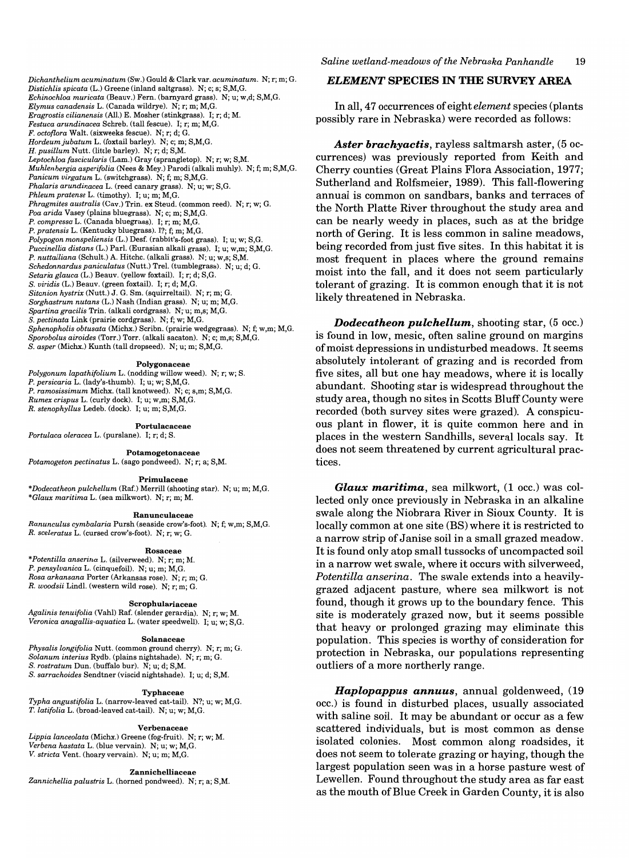*Dichanthelium acuminatum* (Sw.) Gould & Clark var. *acuminatum.* N; r; m; G. *Distichlis spicata* (L.) Greene (inland saltgrass). N; c; s; S,M,G. *Echinochloa muricata* (Beauv.) Fern. (barnyard grass). N; u; w,d; S,M,G. *Elymus canadensis* L. (Canada wildrye). N; r; m; M,G. *Eragrostis cilianensis* (All.) E. Mosher (stinkgrass). I; r; d; M. *Festuca arundinacea* Schreb. (tall fescue). I; r; m; M,G. *F. octoflora* Walt. (sixweeks fescue). N; r; d; G. *Hordeumjubatum* L. (foxtail barley). N; c; m; S,M,G. *H. pusillum* Nutt. (little barley). N; r; d; S,M. *Leptochloa fascicularis* (Lam.) Gray (sprangletop). N; r; w; S,M. *Muhlenbergia asperifolia* (Nees & Mey.) Parodi (alkali muhly). N; f; m; S,M,G. *Panicum virgatum* L. (switchgrass). N; f; m; S,M,G. *Phalaris arundinacea* L. (reed canary grass). N; u; w; S,G. *Phleum pratense* L. (timothy). I; u; m; M,G. *Phragmites australis* (Cav.) Trin. ex Steud. (common reed). N; r; w; G. *Poa arida* Vasey (plains bluegrass). N; c; m; S,M,G. *P. compressa* L. (Canada bluegrass). I; r; m; M,G. *P. pratensis* L. (Kentucky bluegrass). I?; f; m; M,G. *Polypogon monspeliensis* (L.) Desf. (rabbit's-foot grass). I; u; w; S,G. *Puccinellia distans* (L.) ParI. (Eurasian alkali grass). I; u; w,m; S,M,G. *P. nuttalliana* (Schult.) A. Hitchc. (alkali grass). N; u; w,S; S,M. *Schedonnardus paniculatus* (Nutt.) Trel. (tumblegrass). N; u; d; G. *Setaria glauca* (L.) Beauv. (yellow foxtail). I; r; d; S,G. *S. viridis* (L.) Beauv. (green foxtail). I; r; d; M,G. *Sitanion hystrix* (Nutt.) J. G. Sm. (squirreltail). N; r; m; G. *Sorghastrum nutans* (L.) Nash (Indian grass). N; u; m; M,G. *Spartina gracilis* Trin. (alkali cordgrass). N;'u; m,s; M,G. *S. pectinata* Link (prairie cordgrass). N; f; w; M,G. *Sphenopholis obtusata* (Michx.) Scribn. (prairie wedgegrass). N; f; w,m; M,G. *Sporobolus airoides* (Torr.) Torr. (alkali sacaton). N; c; m,s; S,M,G. *S. asper* (Michx.) Kunth (tall dropseed). N; u; m; S,M,G.

#### Polygonaceae

*Polygonum lapathifolium* L. (nodding willow weed). N; r; w; S. *P. persicaria* L. (lady's-thumb). I; u; w; S,M,G. *P. ramosissimum* Michx. (tall knotweed). N; c; s,m; S,M,G. *Rumex crispus* L. (curly dock). I; u; w,m; S,M,G. *R. stenophyllus* Ledeb. (dock). I; u; m; S,M,G.

Portulacaceae

*Portulaca oleracea* L. (purslane). I; r; d; S.

Potamogetonaceae

*Potamogeton pectinatus* L. (sago pondweed). N; r; a; S,M.

#### Primulaceae

*\*Dodecatheon pulchellum* (Raf.) Merrill (shooting star). N; u; m; M,G. *\*Glaux maritima* L. (sea milkwort). N; r; m; M.

#### Ranunculaceae

*Ranunculus cymbalaria* Pursh (seaside crow's-foot). N; f; w,m; S,M,G. *R. sceleratus* L. (cursed crow's-foot). N; r; w; G.

#### Rosaceae

*\*Potentilla anserina* L. (silverweed). N; r; m; M. *P. pensylvanica* L. (cinquefoil). N; u; m; M,G. *Rosa arkansana* Porter (Arkansas rose). N; r; m; G. *R. woodsii* Lindl. (western wild rose). N; r; m; G.

#### Scrophulariaceae

*Agalinis tenuifolia* (Vahl) Raf. (slender gerardia). N; r; w; M. *Veronica anagallis-aquatica* L. (water speedwell). I; u; w; S,G.

#### Solanaceae

*Physalis longifolia* Nutt. (common ground cherry). N; r; m; G. *Solanum interius* Rydb. (plains nightshade). N; r; m; G. S. *rostratum* Dun. (buffalo bur). N; u; d; S,M. *S. sarrachoides* Sendtner (viscid nightshade). I; u; d; S,M.

#### Typhaceae

*Typha angustifolia* L. (narrow-leaved cat-tail). N?; u; w; M,G. *T. latifolia* L. (broad-leaved cat-tail). N; u; w; M,G.

#### Verbenaceae

*Lippia lanceolata* (Michx.) Greene (fog-fruit). N; r; w; M. *Verbena hastata* L. (blue vervain). N; u; w; M,G. *V. stricta* Vent. (hoary vervain). N; u; m; M,G.

#### Zannichelliaceae

*Zannichelliapalustris* L. (horned pondweed). N; r; a; S,M.

## *ELEMENT* **SPECIES IN THE SURVEY AREA**

**In** all, 47 occurrences of eight *element* species (plants possibly rare in Nebraska) were recorded as follows:

*Aster brachyactis,* rayless saltmarsh aster, (5 occurrences) was previously reported from Keith and Cherry counties (Great Plains Flora Association, 1977; Sutherland and Rolfsmeier, 1989). This fall-flowering annual is common on sandbars, banks and terraces of the North Platte River throughout the study area and can be nearly weedy in places, such as at the bridge north of Gering. It is less common in saline meadows, being recorded from just five sites. **In** this habitat it is most frequent in places where the ground remains moist into the fall, and it does not seem particularly tolerant of grazing. It is common enough that it is not likely threatened in Nebraska.

*Dodecatheon pulchellum,* shooting star, (5 occ.) is found in low, mesic, often saline ground on margins of moist depressions in undisturbed meadows. It seems absolutely intolerant of grazing and is recorded from five sites, all but one hay meadows, where it is locally abundant. Shooting star is widespread throughout the study area, though no sites in Scotts Bluff County were recorded (both survey sites were grazed). A conspicuous plant in flower, it is quite common here and in places in the western Sandhills, several locals say. It does not seem threatened by current agricultural practices.

*Glaux maritima,* sea milkwort, (1 occ.) was collected only once previously in Nebraska in an alkaline swale along the Niobrara River in Sioux County. It is locally common at one site (BS) where it is restricted to a narrow strip of Janise soil in a small grazed meadow. It is found only atop small tussocks of uncompacted soil in a narrow wet swale, where it occurs with silverweed, *Potentilla anserina.* The swale extends into a heavilygrazed adjacent pasture, where sea milkwort is not found, though it grows up to the boundary fence. This site is moderately grazed now, but it seems possible that heavy or prolonged grazing may eliminate this population. This species is worthy of consideration for protection in Nebraska, our populations representing outliers of a more northerly range.

*Haplopappus annuus,* annual goldenweed, (19 occ.) is found in disturbed places, usually associated with saline soil. It may be abundant or occur as a few scattered individuals, but is most common as dense isolated colonies. Most common along roadsides, it does not seem to tolerate grazing or haying, though the largest population seen was in a horse pasture west of Lewellen. Found throughout the study area as far east as the mouth of Blue Creek in Garden County, it is also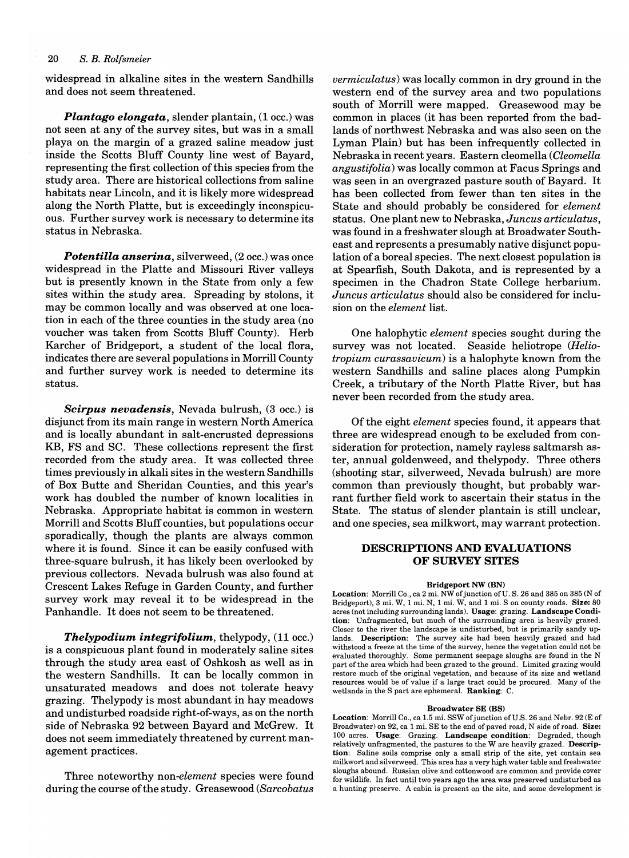widespread in alkaline sites in the western Sandhills and does not seem threatened.

*Plantago elongata,* slender plantain, (1 occ.) was not seen at any of the survey sites, but was in a small playa on the margin of a grazed saline meadow just inside the Scotts Bluff County line west of Bayard, representing the first collection of this species from the study area. There are historical collections from saline habitats near Lincoln, and it is likely more widespread along the North Platte, but is exceedingly inconspicuous. Further survey work is necessary to determine its status in Nebraska.

*Potentilla anserina, silverweed, (2 occ.)* was once widespread in the Platte and Missouri River valleys but is presently known in the State from only a few sites within the study area. Spreading by stolons, it may be common locally and was observed at one location in each of the three counties in the study area (no voucher was taken from Scotts Bluff County). Herb Karcher of Bridgeport, a student of the local flora, indicates there are several populations in Morrill County and further survey work is needed to determine its status.

*Scirpus nevadensis,* Nevada bulrush, (3 occ.) is disjunct from its main range in western North America and is locally abundant in salt-encrusted depressions KB, FS and SC. These collections represent the first recorded from the study area. It was collected three times previously in alkali sites in the western Sandhills of Box Butte and Sheridan Counties, and this year's work has doubled the number of known localities in Nebraska. Appropriate habitat is common in western Morrill and Scotts Bluff counties, but populations occur sporadically, though the plants are always common where it is found. Since it can be easily confused with three-square bulrush, it has likely been overlooked by previous collectors. Nevada bulrush was also found at Crescent Lakes Refuge in Garden County, and further survey work may reveal it to be widespread in the Panhandle. It does not seem to be threatened.

*Thelypodium integrifolium,* thelypody, (11 occ.) is a conspicuous plant found in moderately saline sites through the study area east of Oshkosh as well as in the western Sandhills. It can be locally common in unsaturated meadows and does not tolerate heavy grazing. Thelypody is most abundant in hay meadows and undisturbed roadside right-of-ways, as on the north side of Nebraska 92 between Bayard and McGrew. It does not seem immediately threatened by current management practices.

Three noteworthy *non-element* species were found during the course of the study. Greasewood *(Sarcobatus* 

*vermiculatus)* was locally common in dry ground in the western end of the survey area and two populations south of Morrill were mapped. Greasewood may be common in places (it has been reported from the badlands of northwest Nebraska and was also seen on the Lyman Plain) but has been infrequently collected in Nebraska in recent years. Eastern cleomella *(Cleomella angustifolia)* was locally common at Facus Springs and was seen in an overgrazed pasture south of Bayard. It has been collected from fewer than ten sites in the State and should probably be considered for *element*  status. One plant new to Nebraska, *Juncus articulatus,*  was found in a freshwater slough at Broadwater Southeast and represents a presumably native disjunct population of a boreal species. The next closest population is at Spearfish, South Dakota, and is represented by a specimen in the Chadron State College herbarium. *Juncus articulatus* should also be considered for inclusion on the *element* list.

One halophytic *element* species sought during the survey was not located. Seaside heliotrope *(Heliotropium curassavicum)* is a halophyte known from the western Sandhills and saline places along Pumpkin Creek, a tributary of the North Platte River, but has never been recorded from the study area.

Of the eight *element* species found, it appears that three are widespread enough to be excluded from consideration for protection, namely rayless saltmarsh aster, annual goldenweed, and thelypody. Three others (shooting star, silverweed, Nevada bulrush) are more common than previously thought, but probably warrant further field work to ascertain their status in the State. The status of slender plantain is still unclear, and one species, sea milkwort, may warrant protection.

## DESCRIPTIONS AND EVALUATIONS OF SURVEY SITES

## Bridgeport NW (BN)

Location: Morrill Co., ca 2 mi. NW of junction of U.S. 26 and 385 on 385 (N of Bridgeport), 3 mi. W, 1 mi. N, 1 mi. W, and 1 mi. S on county roads. Size: 80 acres (not including surrounding lands). Usage: grazing. Landscape Condition: Unfragmented, but much of the surrounding area is heavily grazed. Closer to the river the landscape is undisturbed, but is primarily sandy uplands. Description: The survey site had been heavily grazed and had withstood a freeze at the time of the survey, hence the vegetation could not be evaluated thoroughly. Some permanent seepage sloughs are found in the N part of the area which had been grazed to the ground. Limited grazing would restore much of the original vegetation, and because of its size and wetland resources would be of value if a large tract could be procured. Many of the wetlands in the S part are ephemeral. Ranking: C.

#### Broadwater SE (BS)

Location: Morrill Co., ca 1.5 mi. SSW of junction of U.S. 26 and Nebr. 92 (E of Broadwater) on 92, ca 1 mi. SE to the end of paved road, N side of road. Size: 100 acres. Usage: Grazing. Landscape condition: Degraded, though relatively unfragmented, the pastures to the Ware heavily grazed. Description: Saline soils comprise only a small strip of the site, yet contain sea milkwort and silverweed. This area has a very high water table and freshwater sloughs abound. Russian olive and cottonwood are common and provide cover for wildlife. In fact until two years ago the area was preserved undisturbed as a hunting preserve. A cabin is present on the site, and some development is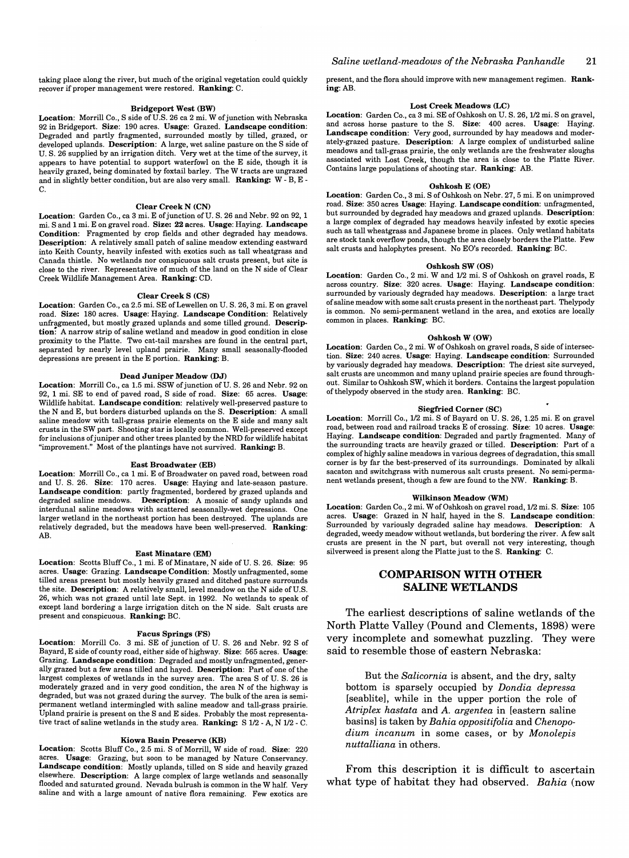taking place along the river, but much of the original vegetation could quickly recover if proper management were restored. Ranking: C.

#### Bridgeport West (BW)

Location: Morrill Co., S side of U.S. 26 ca 2 mi. W of junction with Nebraska 92 in Bridgeport. Size: 190 acres. Usage: Grazed. Landscape condition: Degraded and partly fragmented, surrounded mostly by tilled, grazed, or developed uplands. Description: A large, wet saline pasture on the S side of U. S. 26 supplied by an irrigation ditch. Very wet at the time of the survey, it appears to have potential to support waterfowl on the E side, though it is heavily grazed, being dominated by foxtail barley. The W tracts are ungrazed and in slightly better condition, but are also very small. Ranking: W - B, E -C.

#### Clear Creek N (CN)

Location: Garden Co., ca 3 mi. E of junction of U.S. 26 and Nebr. 92 on 92, 1 mi. S and 1 mi. E on gravel road. Size: 22 acres. Usage: Haying. Landscape Condition: Fragmented by crop fields and other degraded hay meadows. Description: A relatively small patch of saline meadow extending eastward into Keith County, heavily infested with exotics such as tall wheatgrass and Canada thistle. No wetlands nor conspicuous salt crusts present, but site is close to the river. Representative of much of the land on the N side of Clear Creek Wildlife Management Area. Ranking: CD.

#### Clear Creek S (CS)

Location: Garden Co., ca 2.5 mi. SE of Lewellen on U. S. 26, 3 mi. E on gravel road. Size: 180 acres. Usage: Haying. Landscape Condition: Relatively unfragmented, but mostly grazed uplands and some tilled ground. Description: A narrow strip of saline wetland and meadow in good condition in close proximity to the Platte. Two cat-tail marshes are found in the central part, separated by nearly level upland prairie. Many small seasonally-flooded depressions are present in the E portion. Ranking: B.

#### Dead Juniper Meadow (DJ)

Location: Morrill Co., ca 1.5 mi. SSW of junction of U.S. 26 and Nebr. 92 on 92, 1 mi. SE to end of paved road, S side of road. Size: 65 acres. Usage: Wildlife habitat. Landscape condition: relatively well-preserved pasture to the N and E, but borders disturbed uplands on the S. Description: A small saline meadow with tall-grass prairie elements on the E side and many salt crusts in the SW part. Shooting star is locally common. Well-preserved except for inclusions of juniper and other trees planted by the NRD for wildlife habitat "improvement." Most of the plantings have not survived. Ranking: B.

#### East Broadwater (EB)

Location: Morrill Co., ca 1 mi. E of Broadwater on paved road, between road and U. S. 26. Size: 170 acres. Usage: Haying and late-season pasture. Landscape condition: partly fragmented, bordered by grazed uplands and degraded saline meadows. Description: A mosaic of sandy uplands and interdunal saline meadows with scattered seasonally-wet depressions. One larger wetland in the northeast portion has been destroyed. The uplands are relatively degraded, but the meadows have been well-preserved. Ranking: AB.

#### East Minatare (EM)

Location: Scotts Bluff Co., 1 mi. E of Minatare, N side of U.S. 26. Size: 95 acres. Usage: Grazing. Landscape Condition: Mostly unfragmented, some tilled areas present but mostly heavily grazed and ditched pasture surrounds the site. Description: A relatively small, level meadow on the N side of U.S. 26, which was not grazed until late Sept. in 1992. No wetlands to speak of except land bordering a large irrigation ditch on the N side. Salt crusts are present and conspicuous. Ranking: BC.

#### Facus Springs (FS)

Location: Morrill Co. 3 mi. SE of junction of U. S. 26 and Nebr. 92 S of Bayard, E side of county road, either side of highway. Size: 565 acres. Usage: Grazing. Landscape condition: Degraded and mostly unfragmented, generally grazed but a few areas tilled and hayed. Description: Part of one of the largest complexes of wetlands in the survey area. The area S of U. S. 26 is moderately grazed and in very good condition, the area N of the highway is degraded, but was not grazed during the survey. The bulk of the area is semipermanent wetland intermingled with saline meadow and tall-grass prairie. Upland prairie is present on the S and E sides. Probably the most representative tract of saline wetlands in the study area. Ranking: S 1/2 - A, N 1/2 - C.

#### Kiowa Basin Preserve (KB)

Location: Scotts Bluff Co., 2.5 mi. S of Morrill, W side of road. Size: 220 acres. Usage: Grazing, but soon to be managed by Nature Conservancy. Landscape condition: Mostly uplands, tilled on S side and heavily grazed elsewhere. Description: A large complex of large wetlands and seasonally flooded and saturated ground. Nevada bulrush is common in the W half. Very salme and With a large amount of native flora remaining. Few exotics are present, and the flora should improve with new management regimen. Ranking:AB.

#### Lost Creek Meadows (LC)

Location: Garden Co., ca 3 mi. SE of Oshkosh on U.S. 26, 1/2 mi. S on gravel, and across horse pasture to the S. Size: 400 acres. Usage: Having. Landscape condition: Very good, surrounded by hay meadows and moderately-grazed pasture. Description: A large complex of undisturbed saline meadows and tall-grass prairie, the only wetlands are the freshwater sloughs associated with Lost Creek, though the area is close to the Platte River. Contains large populations of shooting star. Ranking: AB.

#### Oshkosh E (OE)

Location: Garden Co., 3 mi. S of Oshkosh on Nebr. 27, 5 mi. E on unimproved road. Size: 350 acres Usage: Haying. Landscape condition: unfragmented, but surrounded by degraded hay meadows and grazed uplands. Description: a large complex of degraded hay meadows heavily infested by exotic species such as tall wheatgrass and Japanese brome in places. Only wetland habitats are stock tank overflow ponds, though the area closely borders the Platte. Few salt crusts and halophytes present. No EO's recorded. Ranking: BC.

#### Oshkosh SW (OS)

Location: Garden Co., 2 mi. W and 1/2 mi. S of Oshkosh on gravel roads, E across country. Size: 320 acres. Usage: Haying. Landscape condition: surrounded by variously degraded hay meadows. Description: a large tract of saline meadow with some salt crusts present in the northeast part. Thelypody is common. No semi-permanent wetland in the area, and exotics are locally common in places. Ranking: BC.

#### Oshkosh W (OW)

Location: Garden Co., 2 mi. W of Oshkosh on gravel roads, S side of intersection. Size: 240 acres. Usage: Haying. Landscape condition: Surrounded by variously degraded hay meadows. Description: The driest site surveyed, salt crusts are uncommon and many upland prairie species are found throughout. Similar to Oshkosh SW, which it borders. Contains the largest population of thelypody observed in the study area. Ranking: BC.

#### Siegfried Corner (SC)

Location: Morrill Co., 1/2 mi. S of Bayard on U.S. 26, 1.25 mi. E on gravel road, between road and railroad tracks E of crossing. Size: 10 acres. Usage: Haying. Landscape condition: Degraded and partly fragmented. Many of the surrounding tracts are heavily grazed or tilled. Description: Part of a complex of highly saline meadows in various degrees of degradation, this small comer is by far the best-preserved of its surroundings. Dominated by alkali sacaton and switchgrass with numerous salt crusts present. No semi-permanent wetlands present, though a few are found to the NW. Ranking: B.

#### Wilkinson Meadow (WM)

Location: Garden Co., 2 mi. W of Oshkosh on gravel road,  $1/2$  mi. S. Size: 105 acres. Usage: Grazed in N half, hayed in the S. Landscape condition: Surrounded by variously degraded saline hay meadows. Description: A degraded, weedy meadow without wetlands, but bordering the river. A few salt crusts are present in the N part, but overall not very interesting, though silverweed is present along the Platte just to the S. Ranking: C.

## **COMPARISON WITH OTHER SALINE WETLANDS**

The earliest descriptions of saline wetlands of the North Platte Valley (Pound and Clements, 1898) were very incomplete and somewhat puzzling. They were said to resemble those of eastern Nebraska:

But the *Salicornia* is absent, and the dry, salty bottom is sparsely occupied by *Dondia depressa*  [seablite], while in the upper portion the role of *Atriplex hastata* and A. *argentea* in [eastern saline basins] is taken by *Bahia oppositifolia* and *Chenopodium incanum* in some cases, or by *Monolepis nuttalliana* in others.

From this description it is difficult to ascertain what type of habitat they had observed. *Bahia* (now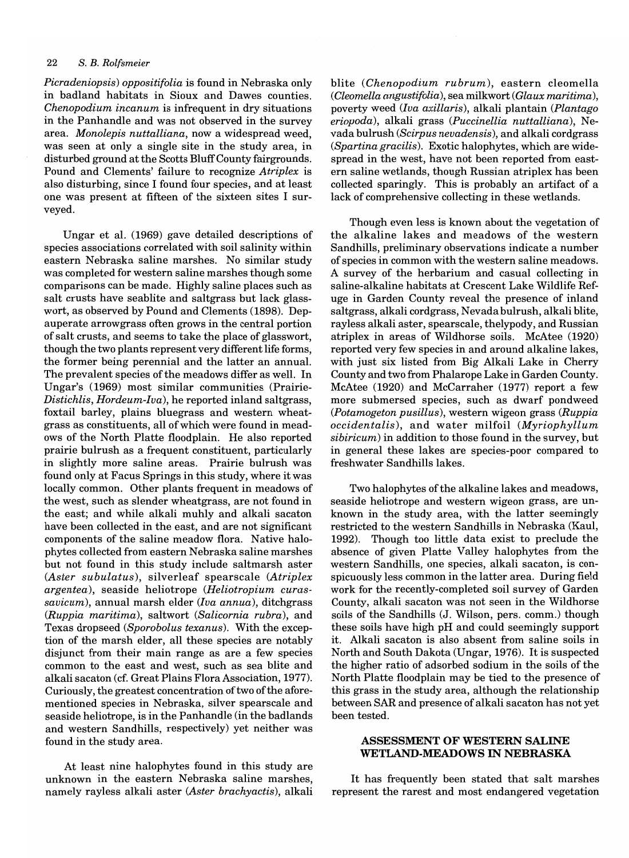*Picradeniopsis) oppositifolia* is found in Nebraska only in badland habitats in Sioux and Dawes counties. *Chenopodium incanum* is infrequent in dry situations in the Panhandle and was not observed in the survey area. *Monolepis nuttalliana,* now a widespread weed, was seen at only a single site in the study area, in disturbed ground at the Scotts Bluff County fairgrounds. Pound and Clements' failure to recognize *Atriplex* is also disturbing, since I found four species, and at least one was present at fifteen of the sixteen sites I surveyed.

Ungar et al. (1969) gave detailed descriptions of species associations correlated with soil salinity within eastern Nebraska saline marshes. No similar study was completed for western saline marshes though some comparisons can be made. Highly saline places such as salt crusts have seablite and saltgrass but lack glasswort, as observed by Pound and Clements (1898). Depauperate arrowgrass often grows in the central portion of salt crusts, and seems to take the place of glasswort, though the two plants represent very different life forms, the former being perennial and the latter an annual. The prevalent species of the meadows differ as well. In Ungar's (1969) most similar communities (Prairie-*Distichlis, Hordeum-Iva),* he reported inland saltgrass, foxtail barley, plains bluegrass and western wheatgrass as constituents, all of which were found in meadows of the North Platte floodplain. He also reported prairie bulrush as a frequent constituent, particularly in slightly more saline areas. Prairie bulrush was found only at Facus Springs in this study, where it was locally common. Other plants frequent in meadows of the west, such as slender wheatgrass, are not found in the east; and while alkali muhly and alkali sacaton have been collected in the east, and are not significant components of the saline meadow flora. Native halophytes collected from eastern Nebraska saline marshes but not found in this study include saltmarsh aster *(Aster subulatus),* silverleaf spearscale *(Atriplex argentea),* seaside heliotrope *(Heliotropium curassavicum),* annual marsh elder *(Iva annua),* ditchgrass *(Ruppia maritima),* saltwort *(Salicornia rubra),* and Texas dropseed *(Sporobolus texanus).* With the exception of the marsh elder, all these species are notably disjunct from their main range as are a few species common to the east and west, such as sea blite and alkali sacaton (cf. Great Plains Flora Association, 1977). Curiously, the greatest concentration of two of the aforementioned species in Nebraska, silver spearscale and seaside heliotrope, is in the Panhandle (in the badlands and western Sandhills, respectively) yet neither was found in the study area.

At least nine halophytes found in this study are unknown in the eastern Nebraska saline marshes, namely rayless alkali aster *(Aster brachyactis),* alkali

blite *(Chenopodium rubrum),* eastern cleomella *(Cleomella angustifolia),* sea milkwort *(Glaux maritima),*  poverty weed *(Iva axillaris),* alkali plantain *(Plantago eriopoda)*, alkali grass *(Puccinellia nuttalliana),* Nevada bulrush *(Scirpus nevadensis),* and alkali cordgrass *(Spartina gracilis).* Exotic halophytes, which are widespread in the west, have not been reported from eastern saline wetlands, though Russian atriplex has been collected sparingly. This is probably an artifact of a lack of comprehensive collecting in these wetlands.

Though even less is known about the vegetation of the alkaline lakes and meadows of the western Sandhills, preliminary observations indicate a number of species in common with the western saline meadows. A survey of the herbarium and casual collecting in saline-alkaline habitats at Crescent Lake Wildlife Refuge in Garden County reveal the presence of inland saltgrass, alkali cordgrass, Nevada bulrush, alkali blite, rayless alkali aster, spearscale, thelypody, and Russian atriplex in areas of Wildhorse soils. McAtee (1920) reported very few species in and around alkaline lakes, with just six listed from Big Alkali Lake in Cherry County and two from Phalarope Lake in Garden County. McAtee (1920) and McCarraher (1977) report a few more submersed species, such as dwarf pondweed *(Potamogeton pusillus),* western wigeon grass *(Ruppia occidentalis),* and water milfoil *(Myriophyllum sibiricum)* in addition to those found in the survey, but in general these lakes are species-poor compared to freshwater Sandhills lakes.

Two halophytes of the alkaline lakes and meadows, seaside heliotrope and western wigeon grass, are unknown in the study area, with the latter seemingly restricted to the western Sandhills in Nebraska (Kaul, 1992). Though too little data exist to preclude the absence of given Platte Valley halophytes from the western Sandhills, one species, alkali sacaton, is conspicuously less common in the latter area. During field work for the recently-completed soil survey of Garden County, alkali sacaton was not seen in the Wildhorse soils of the Sandhills (J. Wilson, pers. comm.) though these soils have high pH and could seemingly support it. Alkali sacaton is also absent from saline soils in North and South Dakota (Ungar, 1976). It is suspected the higher ratio of adsorbed sodium in the soils of the North Platte floodplain may be tied to the presence of this grass in the study area, although the relationship between SAR and presence of alkali sacaton has not yet been tested.

## ASSESSMENT OF WESTERN SALINE WETLAND-MEADOWS IN NEBRASKA

It has frequently been stated that salt marshes represent the rarest and most endangered vegetation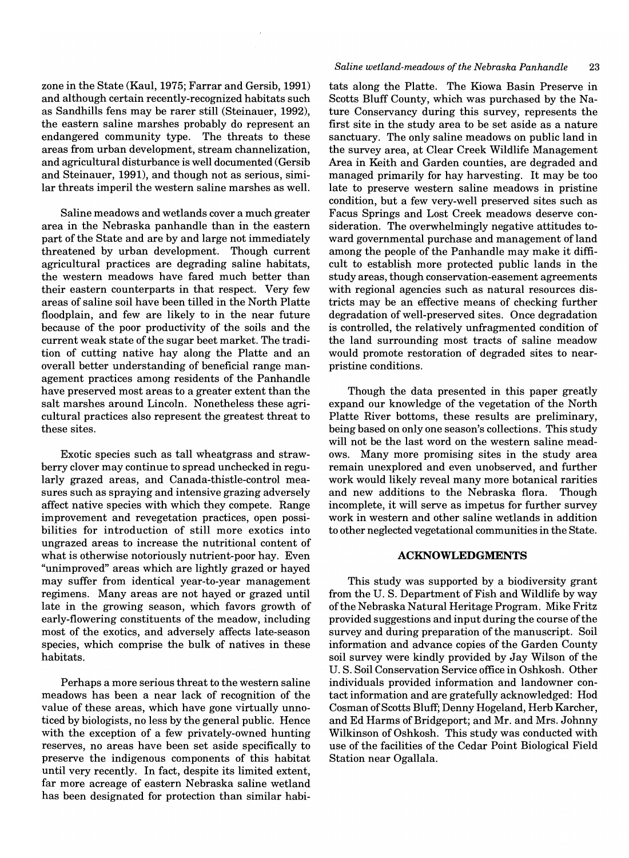zone in the State (Kaul, 1975; Farrar and Gersib, 1991) and although certain recently-recognized habitats such as Sandhills fens may be rarer still (Steinauer, 1992), the eastern saline marshes probably do represent an endangered community type. The threats to these areas from urban development, stream channelization, and agricultural disturbance is well documented (Gersib and Steinauer, 1991), and though not as serious, similar threats imperil the western saline marshes as well.

Saline meadows and wetlands cover a much greater area in the Nebraska panhandle than in the eastern part of the State and are by and large not immediately threatened by urban development. Though current agricultural practices are degrading saline habitats, the western meadows have fared much better than their eastern counterparts in that respect. Very few areas of saline soil have been tilled in the North Platte floodplain, and few are likely to in the near future because of the poor productivity of the soils and the current weak state of the sugar beet market. The tradition of cutting native hay along the Platte and an overall better understanding of beneficial range management practices among residents of the Panhandle have preserved most areas to a greater extent than the salt marshes around Lincoln. Nonetheless these agricultural practices also represent the greatest threat to these sites.

Exotic species such as tall wheatgrass and strawberry clover may continue to spread unchecked in regularly grazed areas, and Canada-thistle-control measures such as spraying and intensive grazing adversely affect native species with which they compete. Range improvement and revegetation practices, open possibilities for introduction of still more exotics into ungrazed areas to increase the nutritional content of what is otherwise notoriously nutrient-poor hay. Even "unimproved" areas which are lightly grazed or hayed may suffer from identical year-to-year management regimens. Many areas are not hayed or grazed until late in the growing season, which favors growth of early-flowering constituents of the meadow, including most of the exotics, and adversely affects late-season species, which comprise the bulk of natives in these habitats.

Perhaps a more serious threat to the western saline meadows has been a near lack of recognition of the value of these areas, which have gone virtually unnoticed by biologists, no less by the general public. Hence with the exception of a few privately-owned hunting reserves, no areas have been set aside specifically to preserve the indigenous components of this habitat until very recently. In fact, despite its limited extent, far more acreage of eastern Nebraska saline wetland has been designated for protection than similar habi-

## *Saline wetland-meadows of the Nebraska Panhandle* 23

tats along the Platte. The Kiowa Basin Preserve in Scotts Bluff County, which was purchased by the Nature Conservancy during this survey, represents the first site in the study area to be set aside as a nature sanctuary. The only saline meadows on public land in the survey area, at Clear Creek Wildlife Management Area in Keith and Garden counties, are degraded and managed primarily for hay harvesting. It may be too late to preserve western saline meadows in pristine condition, but a few very-well preserved sites such as Facus Springs and Lost Creek meadows deserve consideration. The overwhelmingly negative attitudes toward governmental purchase and management of land among the people of the Panhandle may make it difficult to establish more protected public lands in the study areas, though conservation-easement agreements with regional agencies such as natural resources districts may be an effective means of checking further degradation of well-preserved sites. Once degradation is controlled, the relatively unfragmented condition of the land surrounding most tracts of saline meadow would promote restoration of degraded sites to nearpristine conditions.

Though the data presented in this paper greatly expand our knowledge of the vegetation of the North Platte River bottoms, these results are preliminary, being based on only one season's collections. This study will not be the last word on the western saline meadows. Many more promising sites in the study area remain unexplored and even unobserved, and further work would likely reveal many more botanical rarities and new additions to the Nebraska flora. Though incomplete, it will serve as impetus for further survey work in western and other saline wetlands in addition to other neglected vegetational communities in the State.

## **ACKNOWLEDGMENTS**

This study was supported by a biodiversity grant from the U. S. Department of Fish and Wildlife by way ofthe Nebraska Natural Heritage Program. Mike Fritz provided suggestions and input during the course of the survey and during preparation of the manuscript. Soil information and advance copies of the Garden County soil survey were kindly provided by Jay Wilson of the U. S. Soil Conservation Service office in Oshkosh. Other individuals provided information and landowner contact information and are gratefully acknowledged: Hod Cosman of Scotts Bluff; Denny Hogeland, Herb Karcher, and Ed Harms of Bridgeport; and Mr. and Mrs. Johnny Wilkinson of Oshkosh. This study was conducted with use of the facilities of the Cedar Point Biological Field Station near Ogallala.